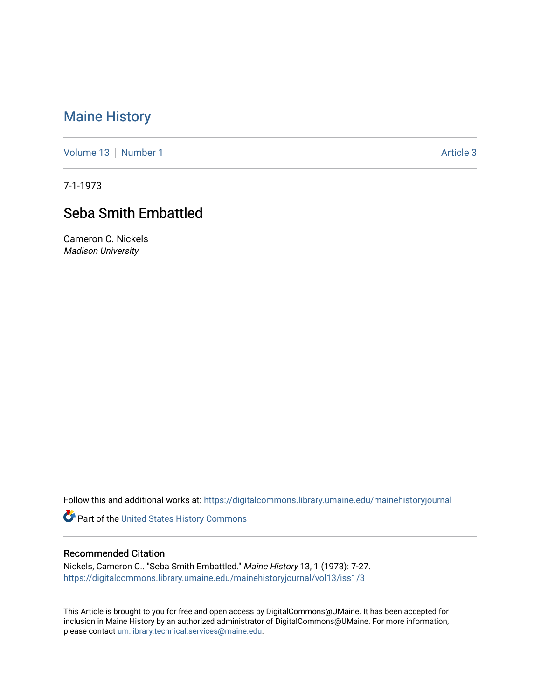### [Maine History](https://digitalcommons.library.umaine.edu/mainehistoryjournal)

[Volume 13](https://digitalcommons.library.umaine.edu/mainehistoryjournal/vol13) [Number 1](https://digitalcommons.library.umaine.edu/mainehistoryjournal/vol13/iss1) Article 3

7-1-1973

## Seba Smith Embattled

Cameron C. Nickels Madison University

Follow this and additional works at: [https://digitalcommons.library.umaine.edu/mainehistoryjournal](https://digitalcommons.library.umaine.edu/mainehistoryjournal?utm_source=digitalcommons.library.umaine.edu%2Fmainehistoryjournal%2Fvol13%2Fiss1%2F3&utm_medium=PDF&utm_campaign=PDFCoverPages) 

Part of the [United States History Commons](http://network.bepress.com/hgg/discipline/495?utm_source=digitalcommons.library.umaine.edu%2Fmainehistoryjournal%2Fvol13%2Fiss1%2F3&utm_medium=PDF&utm_campaign=PDFCoverPages) 

#### Recommended Citation

Nickels, Cameron C.. "Seba Smith Embattled." Maine History 13, 1 (1973): 7-27. [https://digitalcommons.library.umaine.edu/mainehistoryjournal/vol13/iss1/3](https://digitalcommons.library.umaine.edu/mainehistoryjournal/vol13/iss1/3?utm_source=digitalcommons.library.umaine.edu%2Fmainehistoryjournal%2Fvol13%2Fiss1%2F3&utm_medium=PDF&utm_campaign=PDFCoverPages)

This Article is brought to you for free and open access by DigitalCommons@UMaine. It has been accepted for inclusion in Maine History by an authorized administrator of DigitalCommons@UMaine. For more information, please contact [um.library.technical.services@maine.edu.](mailto:um.library.technical.services@maine.edu)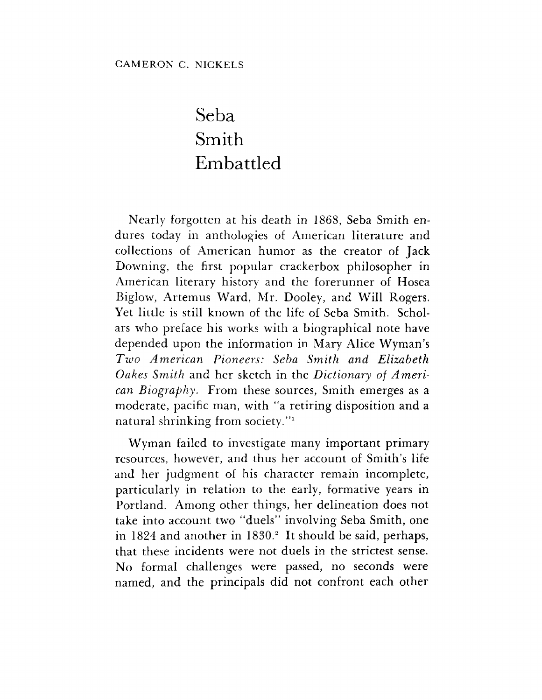# Seba Smith Embattled

Nearly forgotten at his death in 1868, Seba Smith endures today in anthologies of American literature and collections of American humor as the creator of Jack Downing, the first popular crackerbox philosopher in American literary history and the forerunner of Hosea Biglow, Artemus Ward, Mr. Dooley, and Will Rogers. Yet little is still known of the life of Seba Smith. Scholars who preface his works with a biographical note have depended upon the information in Mary Alice Wyman'<sup>s</sup> *Two American Pioneers: Seba Smith and Elizabeth Oakes Smith* and her sketch in the *Dictionary of American Biography.* From these sources, Smith emerges as a moderate, pacific man, with "a retiring disposition and a natural shrinking from society."<sup>1</sup>

Wyman failed to investigate many important primary resources, however, and thus her account of Smith'<sup>s</sup> life and her judgment of his character remain incomplete, particularly in relation to the early, formative years in Portland. Among other things, her delineation does not take into account two "duels" involving Seba Smith, one in 1824 and another in 1830.<sup>2</sup> It should be said, perhaps, that these incidents were not duels in the strictest sense. No formal challenges were passed, no seconds were named, and the principals did not confront each other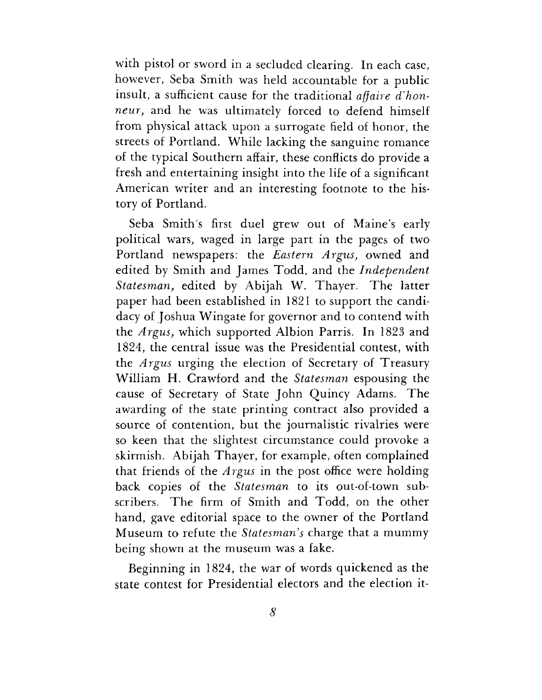with pistol or sword in a secluded clearing. In each case, however, Seba Smith was held accountable for a public insult, a sufficient cause for the traditional *affaire d'honneur,* and he was ultimately forced to defend himself from physical attack upon a surrogate field of honor, the streets of Portland. While lacking the sanguine romance of the typical Southern affair, these conflicts do provide a fresh and entertaining insight into the life of a significant American writer and an interesting footnote to the history of Portland.

Seba Smith's first duel grew out of Maine'<sup>s</sup> early political wars, waged in large part in the pages of two Portland newspapers: the *Eastern Argus,* owned and edited by Smith and James Todd, and the *Independent Statesman,* edited by Abijah W. Thayer. The latter paper had been established in 1821 to support the candidacy of Joshua Wingate for governor and to contend with the *Argus,* which supported Albion Parris. In 1823 and 1824, the central issue was the Presidential contest, with the *Argus* urging the election of Secretary of Treasury William H. Crawford and the *Statesman* espousing the cause of Secretary of State John Quincy Adams. The awarding of the state printing contract also provided a source of contention, but the journalistic rivalries were so keen that the slightest circumstance could provoke a skirmish. Abijah Thayer, for example, often complained that friends of the *Argus* in the post office were holding back copies of the *Statesman* to its out-of-town subscribers. The firm of Smith and Todd, on the other hand, gave editorial space to the owner of the Portland Museum to refute the *Statesman's* charge that a mummy being shown at the museum was a fake.

Beginning in 1824, the war of words quickened as the state contest for Presidential electors and the election it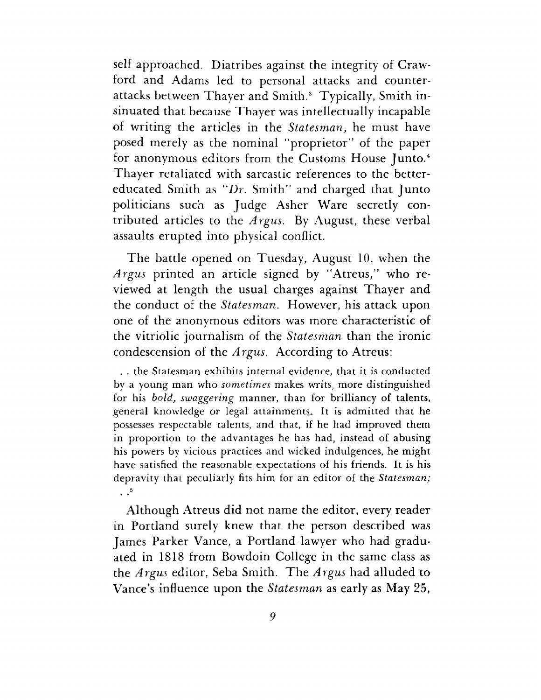self approached. Diatribes against the integrity of Crawford and Adams led to personal attacks and counterattacks between Thayer and Smith.<sup>3</sup> Typically, Smith insinuated that because Thayer was intellectually incapable of writing the articles in the *Statesman,* he must have posed merely as the nominal "proprietor" of the paper for anonymous editors from the Customs House Junto.<sup>4</sup> Thayer retaliated with sarcastic references to the bettereducated Smith as "Dr. Smith" and charged that Junto politicians such as Judge Asher Ware secretly contributed articles to the *Argus.* By August, these verbal assaults erupted into physical conflict.

The battle opened on Tuesday, August 10, when the *Argus* printed an article signed by "Atreus," who reviewed at length the usual charges against Thayer and the conduct of the *Statesman.* However, his attack upon one of the anonymous editors was more characteristic of the vitriolic journalism of the *Statesman* than the ironic condescension of the *Argus.* According to Atreus:

. . the Statesman exhibits internal evidence, that it is conducted by a young man who *sometimes* makes writs, more distinguished for his *bold, swaggering* manner, than for brilliancy of talents, general knowledge or legal attainments. It is admitted that he possesses respectable talents, and that, if he had improved them in proportion to the advantages he has had, instead of abusing his powers by vicious practices and wicked indulgences, he might have satisfied the reasonable expectations of his friends. It is his depravity that peculiarly fits him for an editor of the *Statesman;*  $\cdot$   $\cdot$ <sup>5</sup>

Although Atreus did not name the editor, every reader in Portland surely knew that the person described was James Parker Vance, a Portland lawyer who had graduated in 1818 from Bowdoin College in the same class as the *Argus* editor, Seba Smith. The *Argus* had alluded to Vance'<sup>s</sup> influence upon the *Statesman* as early as May 25,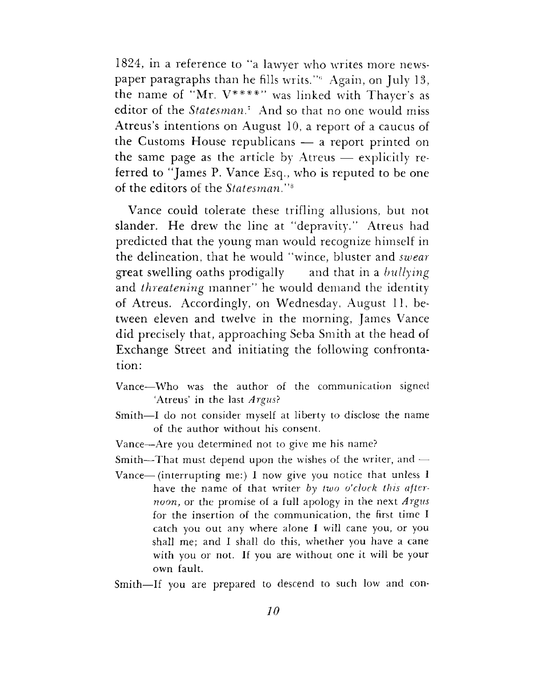1824, in a reference to "a lawyer who writes more newspaper paragraphs than he fills writs."<sup>6</sup> Again, on July 13, the name of "Mr.  $V^{***}$ " was linked with Thayer's as editor of the *Statesman.<sup>1</sup>* And so that no one would miss Atreus'<sup>s</sup> intentions on August 10, a report of a caucus of the Customs House republicans — a report printed on the same page as the article by Atreus — explicitly referred to "James P. Vance Esq., who is reputed to be one of the editors of the *Statesman."\**

Vance could tolerate these trifling allusions, but not slander. He drew the line at "depravity." Atreus had predicted that the young man would recognize himself in the delineation, that he would "wince, bluster and *swear* great swelling oaths prodigally and that in a *bullying* and *threatening* manner" he would demand the identity of Atreus. Accordingly, on Wednesday, August 11, between eleven and twelve in the morning, James Vance did precisely that, approaching Seba Smith at the head of Exchange Street and initiating the following confrontation:

- Vance—Who was the author of the communication signed 'Atreus' in the last *Argus?*
- Smith—I do not consider myself at liberty to disclose the name of the author without his consent.
- Vance—Are you determined not to give me his name?
- Smith—That must depend upon the wishes of the writer, and  $-$
- Vance—(interrupting me:) I now give you notice that unless <sup>I</sup> have the name of that writer *by two o'clock this afternoon,* or the promise of a full apology in the next *Argus* for the insertion of the communication, the first time I catch you out any where alone I will cane you, or you shall me; and I shall do this, whether you have a cane with you or not. If you are without one it will be your own fault.
- Smith—If you are prepared to descend to such low and con-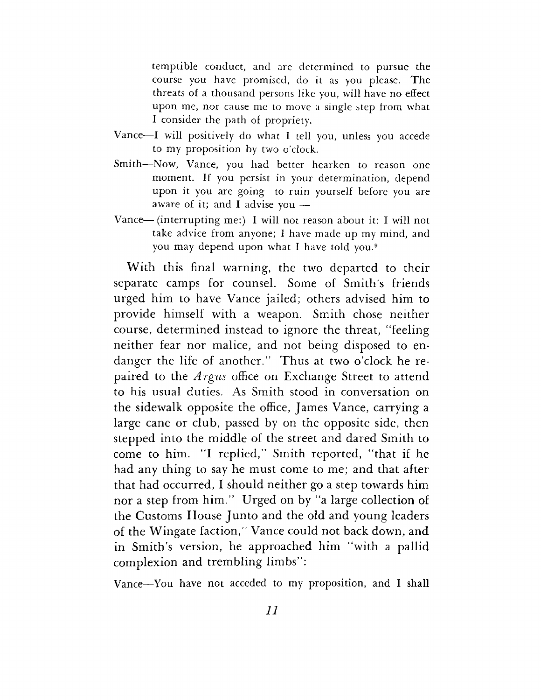temptible conduct, and are determined to pursue the course you have promised, do it as you please. The threats of a thousand persons like you, will have no effect upon me, nor cause me to move a single step from what I consider the path of propriety.

- Vance—I will positively do what I tell you, unless you accede to my proposition by two o'clock.
- Smith—Now, Vance, you had better hearken to reason one moment. If you persist in your determination, depend upon it you are going to ruin yourself before you are aware of it; and I advise you  $-$
- Vance—(interrupting me:) I will not reason about it: I will not take advice from anyone; I have made up my mind, and you may depend upon what I have told you.<sup>9</sup>

With this final warning, the two departed to their separate camps for counsel. Some of Smith's friends urged him to have Vance jailed; others advised him to provide himself with a weapon. Smith chose neither course, determined instead to ignore the threat, "feeling neither fear nor malice, and not being disposed to endanger the life of another." Thus at two o'clock he repaired to the *Argus* office on Exchange Street to attend to his usual duties. As Smith stood in conversation on the sidewalk opposite the office, James Vance, carrying a large cane or club, passed by on the opposite side, then stepped into the middle of the street and dared Smith to come to him. "I replied," Smith reported, "that if he had any thing to say he must come to me; and that after that had occurred, I should neither go a step towards him nor a step from him." Urged on by "a large collection of the Customs House Junto and the old and young leaders of the Wingate faction," Vance could not back down, and in Smith'<sup>s</sup> version, he approached him "with a pallid complexion and trembling limbs":

Vance—You have not acceded to my proposition, and I shall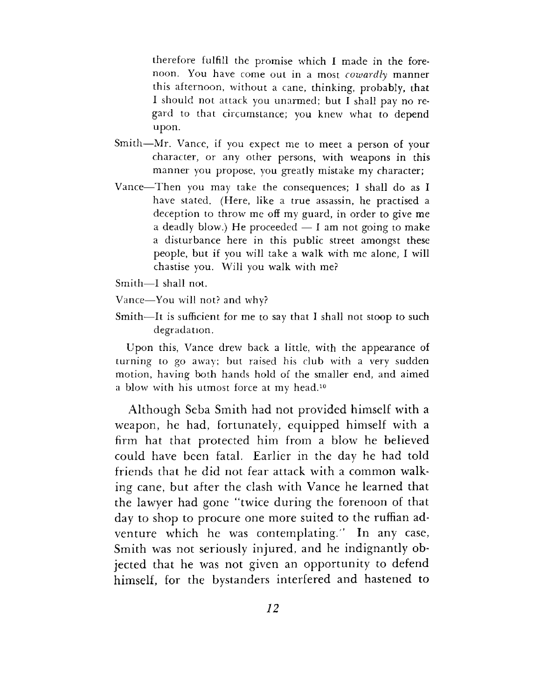therefore fulfill the promise which I made in the forenoon. You have come out in a most *cowardly* manner this afternoon, without a cane, thinking, probably, that I should not attack you unarmed; but I shall pay no regard to that circumstance; you knew what to depend upon.

- Smith—Mr. Vance, if you expect me to meet a person of your character, or any other persons, with weapons in this manner you propose, you greatly mistake my character;
- Vance—Then you may take the consequences; I shall do as I have stated. (Here, like a true assassin, he practised a deception to throw me off my guard, in order to give me a deadly blow.) He proceeded  $- I$  am not going to make a disturbance here in this public street amongst these people, but if you will take a walk with me alone, I will chastise you. Will you walk with me?
- Smith—I shall not.
- Vance—You will not? and why?
- Smith—It is sufficient for me to say that I shall not stoop to such degradation.

Upon this, Vance drew back a little, with the appearance of turning to go away; but raised his club with a very sudden motion, having both hands hold of the smaller end, and aimed a blow with his utmost force at my head.<sup>10</sup>

Although Seba Smith had not provided himself with a weapon, he had, fortunately, equipped himself with a firm hat that protected him from a blow he believed could have been fatal. Earlier in the day he had told friends that he did not fear attack with a common walking cane, but after the clash with Vance he learned that the lawyer had gone "twice during the forenoon of that day to shop to procure one more suited to the ruffian adventure which he was contemplating." In any case, Smith was not seriously injured, and he indignantly objected that he was not given an opportunity to defend himself, for the bystanders interfered and hastened to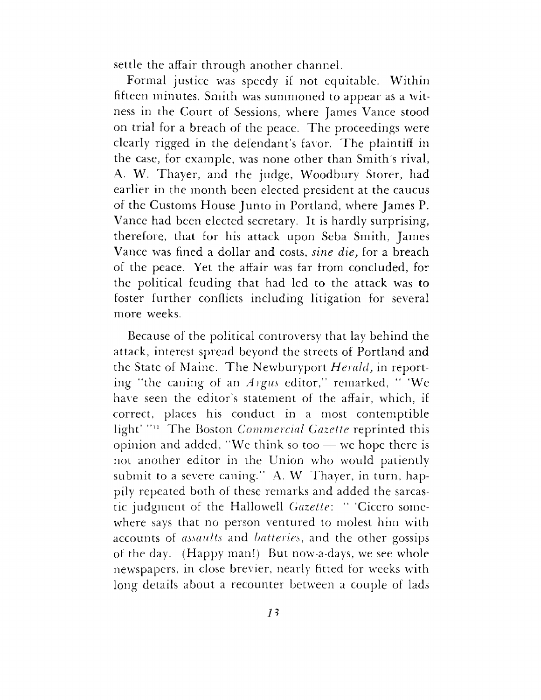settle the affair through another channel.

Formal justice was speedy if not equitable. Within fifteen minutes, Smith was summoned to appear as a witness in the Court of Sessions, where James Vance stood on trial for a breach of the peace. The proceedings were clearly rigged in the defendant'<sup>s</sup> favor. The plaintiff in the case, for example, was none other than Smith's rival, A. W. Thayer, and the judge, Woodbury Storer, had earlier in the month been elected president at the caucus of the Customs House Junto in Portland, where James P. Vance had been elected secretary. It is hardly surprising, therefore, that for his attack upon Seba Smith, James Vance was fined a dollar and costs, *sine die,* for a breach of the peace. Yet the affair was far from concluded, for the political feuding that had led to the attack was to foster further conflicts including litigation for several more weeks.

Because of the political controversy that lay behind the attack, interest spread beyond the streets of Portland and the State of Maine. The Newburyport *Herald,* in reporting "the caning of an *Argus* editor," remarked, " 'We have seen the editor'<sup>s</sup> statement of the affair, which, if correct, places his conduct in a most contemptible light' "n The Boston *Commercial Gazette* reprinted this opinion and added, "We think so too — we hope there is not another editor in the Union who would patiently submit to a severe caning." A. W Thayer, in turn, happily repeated both of these remarks and added the sarcastic judgment of the Hallowell *Gazette'.* " 'Cicero somewhere says that no person ventured to molest him with accounts of *assaults* and *batteries,* and the other gossips of the day. (Happy man!) But now-a-days, we see whole newspapers, in dose brevier, nearly fitted for weeks with long details about a recounter between a couple of lads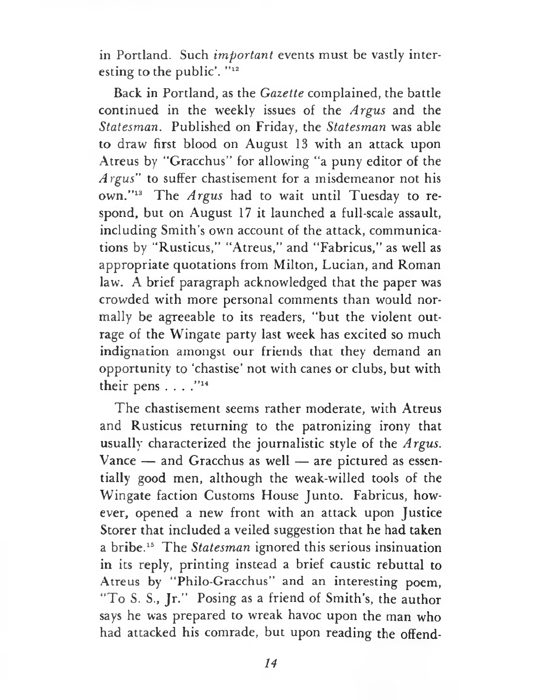in Portland. Such *important* events must be vastly interesting to the public'. "12

Back in Portland, as the *Gazette* complained, the battle continued in the weekly issues of the *Argus* and the *Statesman.* Published on Friday, the *Statesman* was able to draw first blood on August 13 with an attack upon Atreus by "Gracchus" for allowing "a puny editor of the *Argus"* to suffer chastisement for a misdemeanor not his own."<sup>13</sup> The *Argus* had to wait until Tuesday to respond, but on August 17 it launched a full-scale assault, including Smith'<sup>s</sup> own account of the attack, communications by "Rusticus," "Atreus," and "Fabricus," as well as appropriate quotations from Milton, Lucian, and Roman law. A brief paragraph acknowledged that the paper was crowded with more personal comments than would normally be agreeable to its readers, "but the violent outrage of the Wingate party last week has excited so much indignation amongst our friends that they demand an opportunity to 'chastise' not with canes or clubs, but with their pens . . . . "14

The chastisement seems rather moderate, with Atreus and Rusticus returning to the patronizing irony that usually characterized the journalistic style of the *Argus.* Vance — and Gracchus as well — are pictured as essentially good men, although the weak-willed tools of the Wingate faction Customs House Junto. Fabricus, however, opened a new front with an attack upon Justice Storer that included a veiled suggestion that he had taken a bribe.<sup>15</sup> The *Statesman* ignored this serious insinuation in its reply, printing instead a brief caustic rebuttal to Atreus by "Philo-Gracchus" and an interesting poem, "To S. S., Jr." Posing as a friend of Smith's, the author says he was prepared to wreak havoc upon the man who had attacked his comrade, but upon reading the offend-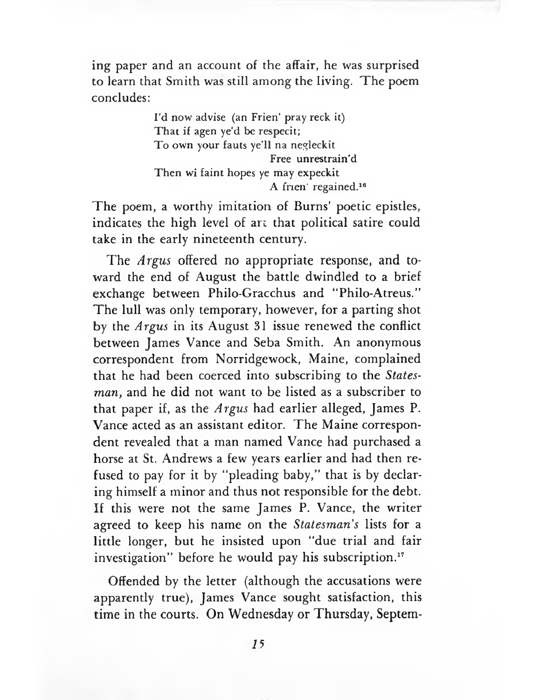ing paper and an account of the affair, he was surprised to learn that Smith was still among the living. The poem concludes:

> I'd now advise (an Frien' pray reck it) That if agen ye'd be respecit; To own your fauts ye'll na negleckit Free unrestrain'd Then wi faint hopes ye may expeckit A frien' regained.<sup>16</sup>

The poem, a worthy imitation of Burns' poetic epistles, indicates the high level of art that political satire could take in the early nineteenth century.

The *Argus* offered no appropriate response, and toward the end of August the battle dwindled to a brief exchange between Philo-Gracchus and "Philo-Atreus." The lull was only temporary, however, for a parting shot by the *Argus* in its August 31 issue renewed the conflict between James Vance and Seba Smith. An anonymous correspondent from Norridgewock, Maine, complained that he had been coerced into subscribing to the *Statesman,* and he did not want to be listed as a subscriber to that paper if, as the *Argus* had earlier alleged, James P. Vance acted as an assistant editor. The Maine correspondent revealed that a man named Vance had purchased a horse at St. Andrews a few years earlier and had then refused to pay for it by "pleading baby," that is by declaring himself a minor and thus not responsible for the debt. If this were not the same James P. Vance, the writer agreed to keep his name on the *Statesman's* lists for a little longer, but he insisted upon "due trial and fair investigation" before he would pay his subscription.<sup>17</sup>

Offended by the letter (although the accusations were apparently true), James Vance sought satisfaction, this time in the courts. On Wednesday or Thursday, Septem-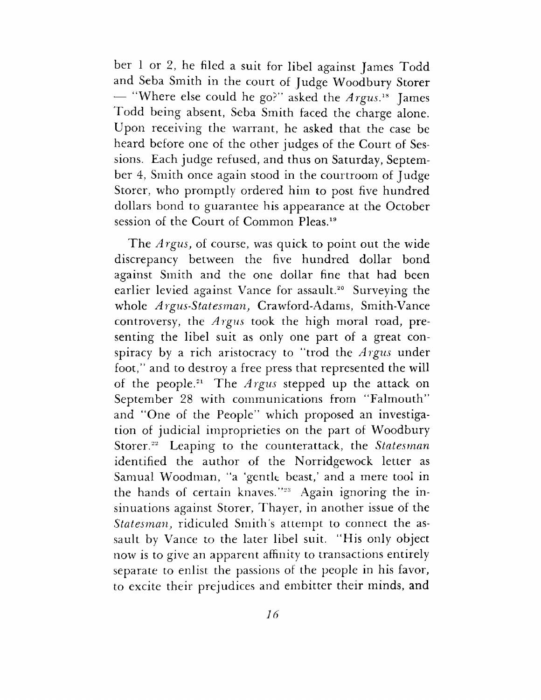ber <sup>1</sup> or 2, he filed a suit for libel against James Todd and Seba Smith in the court of Judge Woodbury Storer — "Where else could he go?" asked the *Argus.*<sup>18</sup> James Todd being absent, Seba Smith faced the charge alone. Upon receiving the warrant, he asked that the case be heard before one of the other judges of the Court of Sessions. Each judge refused, and thus on Saturday, September 4, Smith once again stood in the courtroom of Judge Storer, who promptly ordered him to post five hundred dollars bond to guarantee his appearance at the October session of the Court of Common Pleas.<sup>19</sup>

The *Argus,* of course, was quick to point out the wide discrepancy between the five hundred dollar bond against Smith and the one dollar fine that had been earlier levied against Vance for assault.<sup>20</sup> Surveying the whole *Argus-Statesman,* Crawford-Adams, Smith-Vance controversy, the *Argus* took the high moral road, presenting the libel suit as only one part of a great conspiracy by a rich aristocracy to "trod the *Argus* under foot," and to destroy a free press that represented the will of the people.<sup>21</sup> The *Argus* stepped up the attack on September 28 with communications from "Falmouth" and "One of the People" which proposed an investigation of judicial improprieties on the part of Woodbury Storer.<sup>22</sup> Leaping to the counterattack, the *Statesman* identified the author of the Norridgewock letter as Samual Woodman, "a 'gentle beast,' and a mere tool in the hands of certain knaves."<sup>23</sup> Again ignoring the insinuations against Storer, Thayer, in another issue of the *Statesman,* ridiculed Smith's attempt to connect the assault by Vance to the later libel suit. "His only object now is to give an apparent affinity to transactions entirely separate to enlist the passions of the people in his favor, to excite their prejudices and embitter their minds, and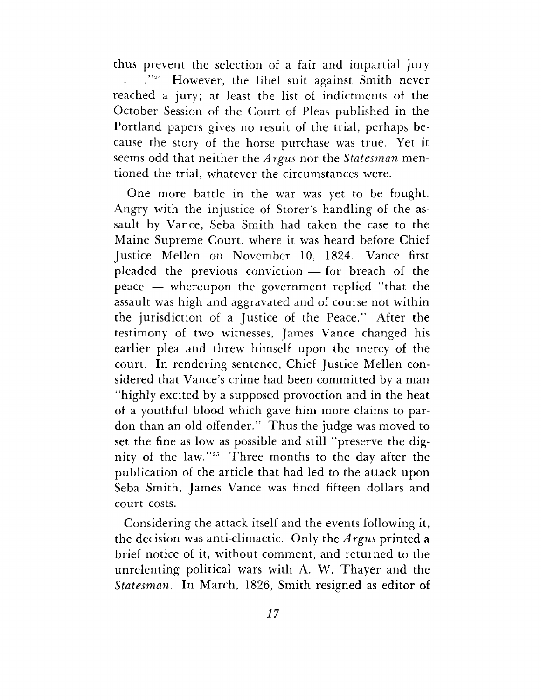thus prevent the selection of a fair and impartial jury ."<sup>24</sup> However, the libel suit against Smith never  $\mathbf{r}$ reached a jury; at least the list of indictments of the October Session of the Court of Pleas published in the Portland papers gives no result of the trial, perhaps because the story of the horse purchase was true. Yet it seems odd that neither the *Argus* nor the *Statesman* mentioned the trial, whatever the circumstances were.

One more battle in the war was yet to be fought. Angry with the injustice of Storer's handling of the assault by Vance, Seba Smith had taken the case to the Maine Supreme Court, where it was heard before Chief Justice Mellen on November 10, 1824. Vance first pleaded the previous conviction — for breach of the peace — whereupon the government replied "that the assault was high and aggravated and of course not within the jurisdiction of a Justice of the Peace." After the testimony of two witnesses, James Vance changed his earlier plea and threw himself upon the mercy of the court. In rendering sentence, Chief Justice Mellen considered that Vance'<sup>s</sup> crime had been committed by a man "highly excited by a supposed provoction and in the heat of a youthful blood which gave him more claims to pardon than an old offender." Thus the judge was moved to set the fine as low as possible and still "preserve the dignity of the law."<sup>25</sup> Three months to the day after the publication of the article that had led to the attack upon Seba Smith, James Vance was fined fifteen dollars and court costs.

Considering the attack itself and the events following it, the decision was anti-climactic. Only the *Argus* printed a brief notice of it, without comment, and returned to the unrelenting political wars with A. W. Thayer and the *Statesman.* In March, 1826, Smith resigned as editor of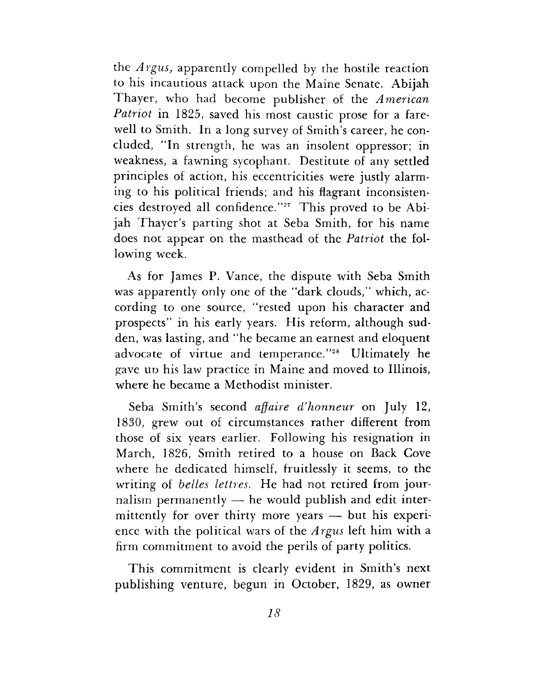the *Argus,* apparently compelled by the hostile reaction to his incautious attack upon the Maine Senate. Abijah Thayer, who had become publisher of the *American Patriot* in 1825, saved his most caustic prose for a farewell to Smith. In a long survey of Smith'<sup>s</sup> career, he concluded, "In strength, he was an insolent oppressor; in weakness, a fawning sycophant. Destitute of any settled principles of action, his eccentricities were justly alarming to his political friends; and his flagrant inconsistencies destroyed all confidence."<sup>27</sup> This proved to be Abijah Thayer'<sup>s</sup> parting shot at Seba Smith, for his name does not appear on the masthead of the *Patriot* the following week.

As for James P. Vance, the dispute with Seba Smith was apparently only one of the "dark clouds," which, according to one source, "rested upon his character and prospects" in his early years. His reform, although sudden, was lasting, and "he became an earnest and eloquent advocate of virtue and temperance."<sup>28</sup> Ultimately he gave up his law practice in Maine and moved to Illinois, where he became a Methodist minister.

Seba Smith'<sup>s</sup> second *affaire d/honneur* on July 12, 1830, grew out of circumstances rather different from those of six years earlier. Following his resignation in March, 1826, Smith retired to a house on Back Cove where he dedicated himself, fruitlessly it seems, to the writing of *belles lettres.* He had not retired from journalism permanently — he would publish and edit intermittently for over thirty more years — but his experience with the political wars of the *Argus* left him with a firm commitment to avoid the perils of party politics.

This commitment is clearly evident in Smith'<sup>s</sup> next publishing venture, begun in October, 1829, as owner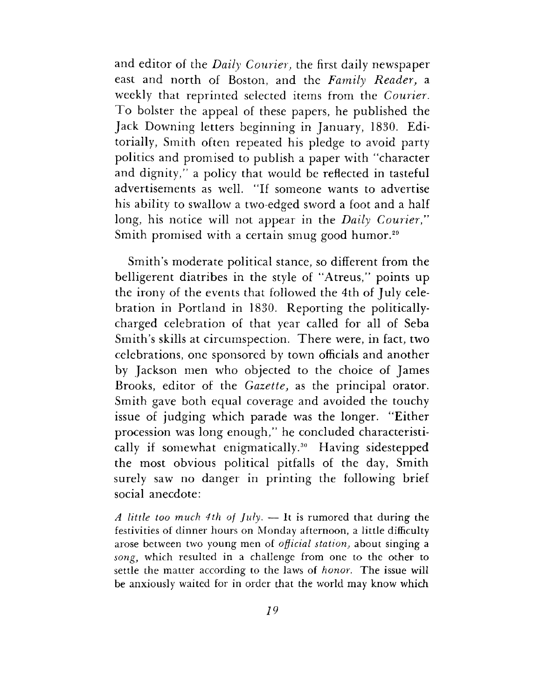and editor of the *Daily Courier,* the first daily newspaper east and north of Boston, and the *Family Reader,* a weekly that reprinted selected items from the *Courier.* To bolster the appeal of these papers, he published the Jack Downing letters beginning in January, 1830. Editorially, Smith often repeated his pledge to avoid party politics and promised to publish a paper with "character and dignity," a policy that would be reflected in tasteful advertisements as well. "If someone wants to advertise his ability to swallow a two-edged sword a foot and a half long, his notice will not appear in the *Daily Courier,"* Smith promised with a certain smug good humor.<sup>29</sup>

Smith'<sup>s</sup> moderate political stance, so different from the belligerent diatribes in the style of "Atreus," points up the irony of the events that followed the 4th of July celebration in Portland in 1830. Reporting the politicallycharged celebration of that year called for all of Seba Smith'<sup>s</sup> skills at circumspection. There were, in fact, two celebrations, one sponsored by town officials and another by Jackson men who objected to the choice of James Brooks, editor of the *Gazette,* as the principal orator. Smith gave both equal coverage and avoided the touchy issue of judging which parade was the longer. "Either procession was long enough," he concluded characteristically if somewhat enigmatically.<sup>30</sup> Having sidestepped the most obvious political pitfalls of the day, Smith surely saw no danger in printing the following brief social anecdote:

*A little too much 4th of July. —* It is rumored that during the festivities of dinner hours on Monday afternoon, a little difficulty arose between two young men of *official station,* about singing a *song,* which resulted in a challenge from one to the other to settle the matter according to the laws of *honor.* The issue will be anxiously waited for in order that the world may know which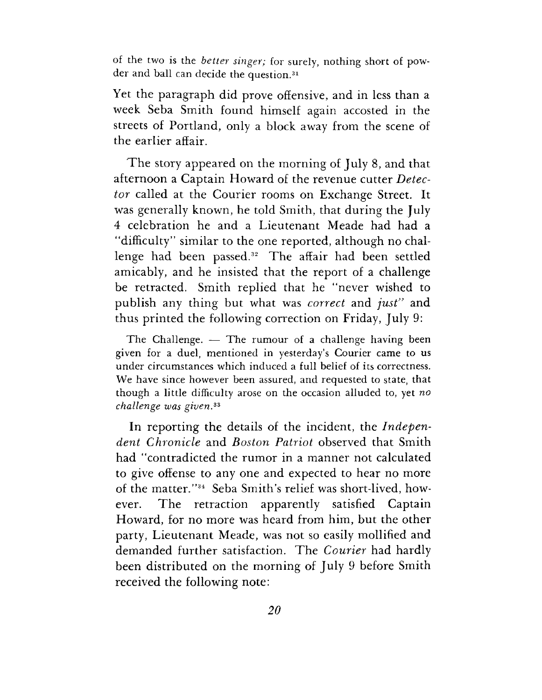of the two is the *better singer;* for surely, nothing short of powder and ball can decide the question.<sup>31</sup>

Yet the paragraph did prove offensive, and in less than a week Seba Smith found himself again accosted in the streets of Portland, only a block away from the scene of the earlier affair.

The story appeared on the morning of July 8, and that afternoon a Captain Howard of the revenue cutter *Detector* called at the Courier rooms on Exchange Street. It was generally known, he told Smith, that during the July 4 celebration he and a Lieutenant Meade had had a "difficulty" similar to the one reported, although no challenge had been passed.<sup>32</sup> The affair had been settled amicably, and he insisted that the report of a challenge be retracted. Smith replied that he "never wished to publish any thing but what was *correct* and *just"* and thus printed the following correction on Friday, July 9:

The Challenge. — The rumour of a challenge having been given for a duel, mentioned in yesterday's Courier came to us under circumstances which induced a full belief of its correctness. We have since however been assured, and requested to state, that though a little difficulty arose on the occasion alluded to, yet *no challenge was given,<sup>33</sup>*

In reporting the details of the incident, the *Independent Chronicle* and *Boston Patriot* observed that Smith had "contradicted the rumor in a manner not calculated to give offense to any one and expected to hear no more of the matter."<sup>34</sup> Seba Smith'<sup>s</sup> relief was short-lived, however. The retraction apparently satisfied Captain Howard, for no more was heard from him, but the other party, Lieutenant Meade, was not so easily mollified and demanded further satisfaction. The *Courier* had hardly been distributed on the morning of July 9 before Smith received the following note: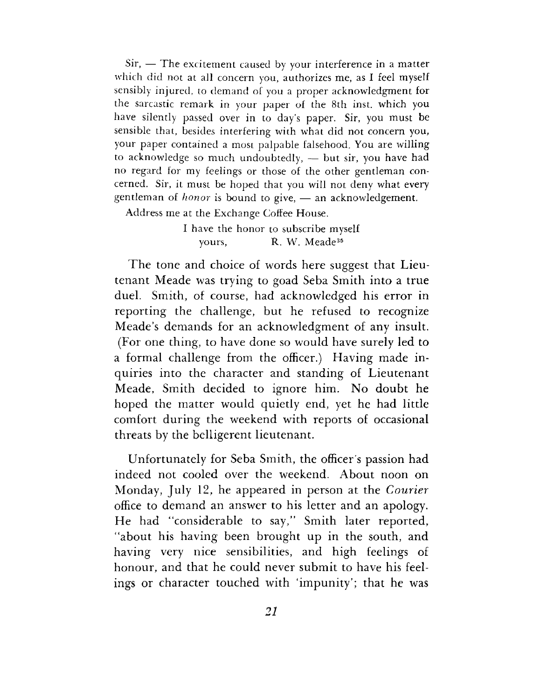Sir, — The excitement caused by your interference in a matter which did not at all concern you, authorizes me, as I feel myself sensibly injured, to demand of you a proper acknowledgment for the sarcastic remark in your paper of the 8th inst. which you have silently passed over in to day'<sup>s</sup> paper. Sir, you must be sensible that, besides interfering with what did not concern you, your paper contained a most palpable falsehood. You are willing to acknowledge so much undoubtedly, — but sir, you have had no regard for my feelings or those of the other gentleman concerned. Sir, it must be hoped that you will not deny what every gentleman of *honor* is bound to give, — an acknowledgement.

Address me at the Exchange Coffee House.

I have the honor to subscribe myself yours, R. W. Meade<sup>35</sup>

The tone and choice of words here suggest that Lieutenant Meade was trying to goad Seba Smith into a true duel. Smith, of course, had acknowledged his error in reporting the challenge, but he refused to recognize Meade'<sup>s</sup> demands for an acknowledgment of any insult. (For one thing, to have done so would have surely led to a formal challenge from the officer.) Having made inquiries into the character and standing of Lieutenant Meade, Smith decided to ignore him. No doubt he hoped the matter would quietly end, yet he had little comfort during the weekend with reports of occasional threats by the belligerent lieutenant.

Unfortunately for Seba Smith, the officer'<sup>s</sup> passion had indeed not cooled over the weekend. About noon on Monday, July 12, he appeared in person at the *Courier* office to demand an answer to his letter and an apology. He had "considerable to say," Smith later reported, "about his having been brought up in the south, and having very nice sensibilities, and high feelings of honour, and that he could never submit to have his feelings or character touched with "impunity'; that he was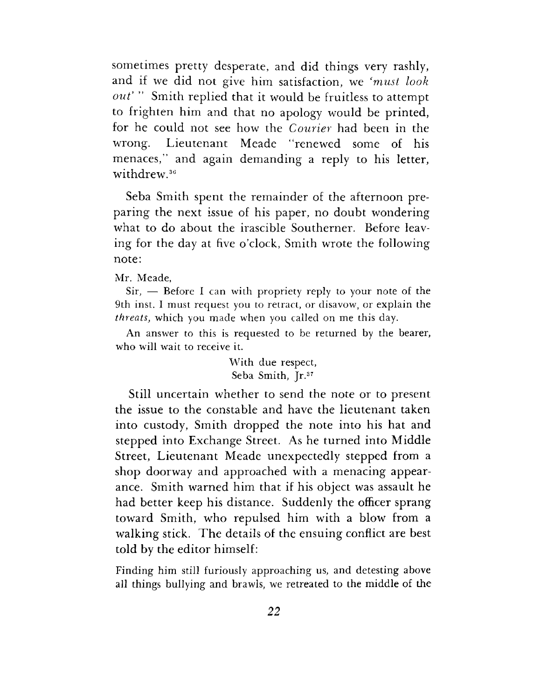sometimes pretty desperate, and did things very rashly, and if we did not give him satisfaction, we *'must look out' "* Smith replied that it would be fruitless to attempt to frighten him and that no apology would be printed, for he could not see how the *Courier* had been in the wrong. Lieutenant Meade ''renewed some of his menaces," and again demanding a reply to his letter, withdrew.<sup>36</sup>

Seba Smith spent the remainder of the afternoon preparing the next issue of his paper, no doubt wondering what to do about the irascible Southerner. Before leaving for the day at five o'clock, Smith wrote the following note:

Mr. Meade,

Sir, — Before I can with propriety reply to your note of the 9th inst. I must request you to retract, or disavow, or explain the *threats,* which you made when you called on me this day.

An answer to this is requested to be returned by the bearer, who will wait to receive it.

> With due respect, Seba Smith, Jr.<sup>37</sup>

Still uncertain whether to send the note or to present the issue to the constable and have the lieutenant taken into custody, Smith dropped the note into his hat and stepped into Exchange Street. As he turned into Middle Street, Lieutenant Meade unexpectedly stepped from a shop doorway and approached with a menacing appearance. Smith warned him that if his object was assault he had better keep his distance. Suddenly the officer sprang toward Smith, who repulsed him with a blow from a walking stick. The details of the ensuing conflict are best told by the editor himself:

Finding him still furiously approaching us, and detesting above all things bullying and brawls, we retreated to the middle of the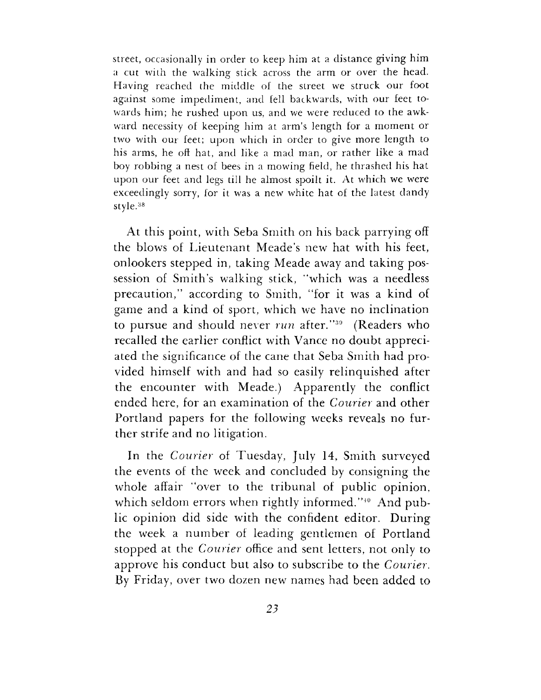street, occasionally in order to keep him at a distance giving him a cut with the walking stick across the arm or over the head. Having reached the middle of the street we struck our foot against some impediment, and fell backwards, with our feet towards him; he rushed upon us, and we were reduced to the awkward necessity of keeping him at arm's length for a moment or two with our feet; upon which in order to give more length to his arms, he oft hat, and like a mad man, or rather like a mad boy robbing a nest of bees in a mowing field, he thrashed his hat upon our feet and legs till he almost spoilt it. At which we were exceedingly sorry, for it was a new white hat of the latest dandy style.<sup>38</sup>

At this point, with Seba Smith on his back parrying off the blows of Lieutenant Meade'<sup>s</sup> new hat with his feet, onlookers stepped in, taking Meade away and taking possession of Smith's walking stick, "which was a needless precaution," according to Smith, "for it was a kind of game and a kind of sport, which we have no inclination to pursue and should never *run* after."<sup>39</sup> (Readers who recalled the earlier conflict with Vance no doubt appreciated the significance of the cane that Seba Smith had provided himself with and had so easily relinquished after the encounter with Meade.) Apparently the conflict ended here, for an examination of the *Courier* and other Portland papers for the following weeks reveals no further strife and no litigation.

In the *Courier* of Tuesday, July 14, Smith surveyed the events of the week and concluded by consigning the whole affair "over to the tribunal of public opinion, which seldom errors when rightly informed."<sup>40</sup> And public opinion did side with the confident editor. During the week a number of leading gentlemen of Portland stopped at the *Courier* office and sent letters, not only to approve his conduct but also to subscribe to the *Courier.* By Friday, over two dozen new names had been added to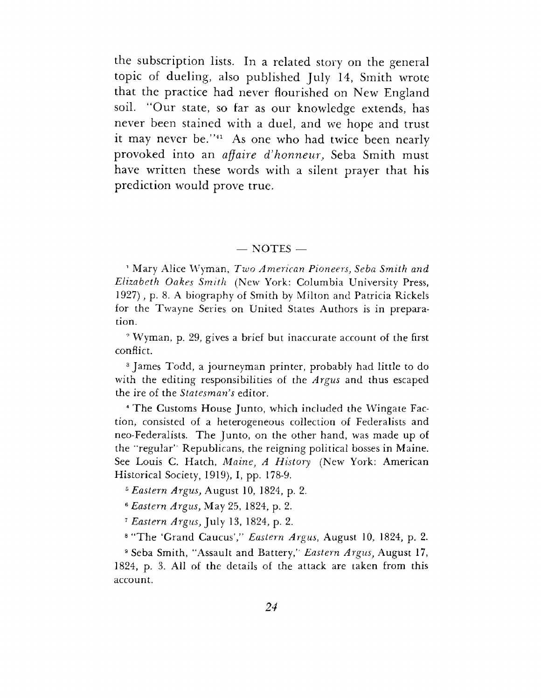the subscription lists. In a related story on the general topic of dueling, also published July 14, Smith wrote that the practice had never flourished on New England soil. "Our state, so far as our knowledge extends, has never been stained with a duel, and we hope and trust it may never be."<sup>41</sup> As one who had twice been nearly provoked into an *affaire d'honneiir,* Seba Smith must have written these words with a silent prayer that his prediction would prove true.

#### $-$  NOTES  $-$

<sup>1</sup> Mary Alice Wyman, *Two American Pioneers, Seba Smith and Elizabeth Oakes Smith* (New York: Columbia University Press, 1927) , p. 8. A biography of Smith by Milton and Patricia Rickels for the Twayne Series on United States Authors is in preparation.

<sup>9</sup> Wyman, p. 29, gives a brief but inaccurate account of the first conflict.

<sup>3</sup> James Todd, a journeyman printer, probably had little to do with the editing responsibilities of the *Argus* and thus escaped the ire of the *Statesman's* editor.

<sup>4</sup> The Customs House Junto, which included the Wingate Faction, consisted of a heterogeneous collection of Federalists and neo-Federalists. The Junto, on the other hand, was made up of the "regular'' Republicans, the reigning political bosses in Maine. See Louis C. Hatch, *Maine, A History* (New York: American Historical Society, 1919), I, pp. 178-9.

*<sup>5</sup> Eastern Argus,* August 10, 1824, p. 2.

*<sup>6</sup> Eastern Argus,* May 25, 1824, p. 2.

*<sup>7</sup> Eastern Argus,* July 13, 1824, p. 2.

<sup>8</sup> "The 'Grand Caucus'," *Eastern Argus,* August 10, 1824, p. 2.

<sup>9</sup> Seba Smith, "Assault and Battery," *Eastern Argus,* August 17, 1824, p. 3. All of the details of the attack are taken from this account.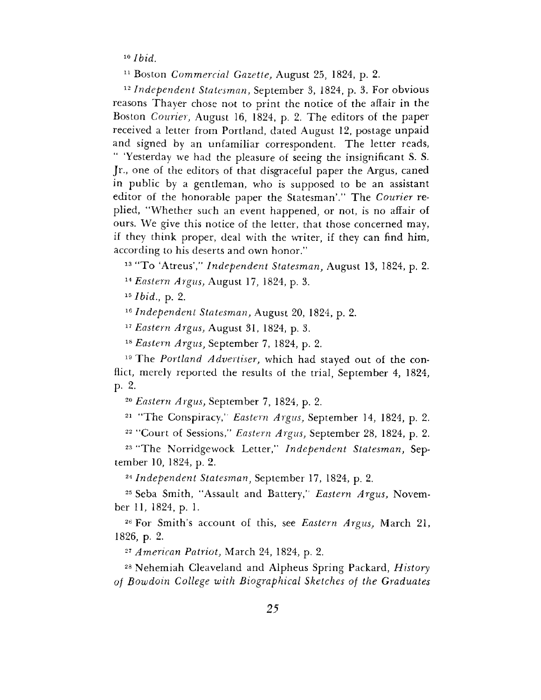*<sup>10</sup> Ibid.*

<sup>11</sup> Boston *Commercial Gazette,* August 25, 1824, p. 2.

*<sup>12</sup> Independent Statesman,* September 3, 1824, p. 3. For obvious reasons Thayer chose not to print the notice of the affair in the Boston *Courier,* August 16, 1824, p. 2. The editors of the paper received a letter from Portland, dated August 12, postage unpaid and signed by an unfamiliar correspondent. The letter reads, 'Yesterday we had the pleasure of seeing the insignificant S. S. Jr., one of the editors of that disgraceful paper the Argus, caned in public by a gentleman, who is supposed to be an assistant editor of the honorable paper the Statesman'." The *Courier* replied, ''Whether such an event happened, or not, is no affair of ours. We give this notice of the letter, that those concerned may, if they think proper, deal with the writer, if they can find him, according to his deserts and own honor."

<sup>13</sup> "To 'Atreus'," *Independent Statesman,* August 13, 1824, p. 2.

*<sup>14</sup> Eastern Argus,* August 17, 1824, p. 3.

*<sup>15</sup> Ibid.,* p. 2.

*^Independent Statesman,* August 20, 1824, p. 2.

*<sup>17</sup> Eastern Argus,* August 31, 1824, p. 3.

*<sup>18</sup> Eastern Argus,* September 7, 1824, p. 2.

<sup>19</sup> The *Portland Advertiser,* which had stayed out of the conflict, merely reported the results of the trial, September 4, 1824, p. 2.

*<sup>20</sup> Eastern Argus,* September 7, 1824, p. 2.

<sup>21</sup> ''The Conspiracy," *Eastern Argus,* September 14, 1824, p. 2.

<sup>22</sup> "Court of Sessions," *Eastern Argus,* September 28, 1824, p. 2.

<sup>23</sup> "The Norridgewock Letter," *Independent Statesman,* September 10, 1824, p. 2.

*<sup>24</sup> Independent Statesman,* September 17, 1824, p. 2.

<sup>25</sup> Seba Smith, "Assault and Battery," *Eastern Argus,* November 11, 1824, p. 1.

<sup>26</sup> For Smith's account of this, see *Eastern Argus,* March 21, 1826, p. 2.

*<sup>27</sup> American Patriot,* March 24, 1824, p. 2.

<sup>28</sup> Nehemiah Cleaveland and Alpheus Spring Packard, *History of Bowdoin College with Biographical Sketches of the Graduates*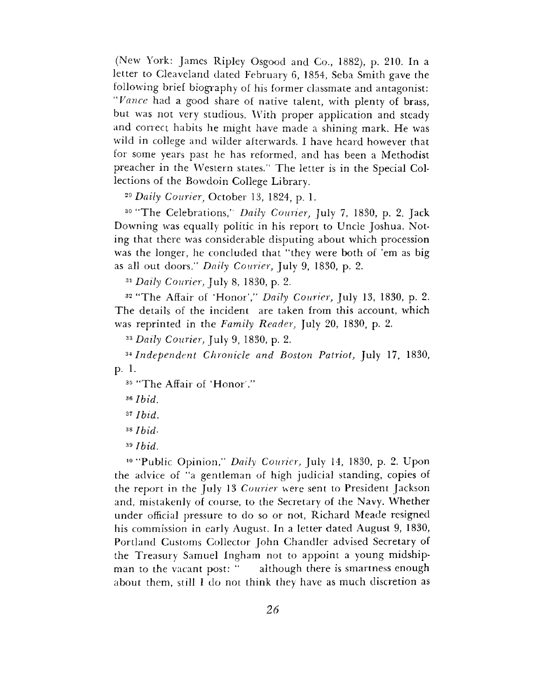(New York: James Ripley Osgood and Co., 1882), p. 210. In a letter to Cleaveland dated February 6, 1854, Seba Smith gave the following brief biography of his former classmate and antagonist: *"Vance* had a good share of native talent, with plenty of brass, but was not very studious. With proper application and steady and correct habits he might have made a shining mark. He was wild in college and wilder afterwards. I have heard however that for some years past he has reformed, and has been a Methodist preacher in the Western states." The letter is in the Special Collections of the Bowdoin College Library.

*<sup>29</sup> Daily Courier,* October 13, 1824, p. 1.

<sup>30</sup> "The Celebrations," *Daily Courier,* July 7, 1830, p. 2. Jack Downing was equally politic in his report to Uncle Joshua. Noting that there was considerable disputing about which procession was the longer, he concluded that "they were both of 'em as big as all out doors." *Daily Courier,* July 9, 1830, p. 2.

*<sup>31</sup> Daily Courier,* July 8, 1830, p. 2.

<sup>32</sup> "The Affair of 'Honor'," *Daily Courier,* July 13, 1830, p. 2. The details of the incident are taken from this account, which was reprinted in the *Family Reader,* July 20, 1830, p. 2.

*<sup>33</sup> Daily Courier,* July 9, 1830, p. 2.

*<sup>34</sup> Independent Chronicle and Boston Patriot,* July 17, 1830, p. 1.

<sup>35</sup> "The Affair of 'Honor'."

*<sup>36</sup> Ibid.*

*<sup>37</sup> Ibid.*

*<sup>38</sup> Ibid-*

*<sup>39</sup> Ibid.*

<sup>40</sup> "Public Opinion," *Daily Courier,* July 14, 1830, p. 2. Upon the advice of "a gentleman of high judicial standing, copies of the report in the July 13 *Courier* were sent to President Jackson and, mistakenly of course, to the Secretary of the Navy. Whether under official pressure to do so or not, Richard Meade resigned his commission in early August. In a letter dated August 9, 1830, Portland Customs Collector John Chandler advised Secretary of the Treasury Samuel Ingham not to appoint a young midshipman to the vacant post: " although there is smartness enough about them, still I do not think they have as much discretion as